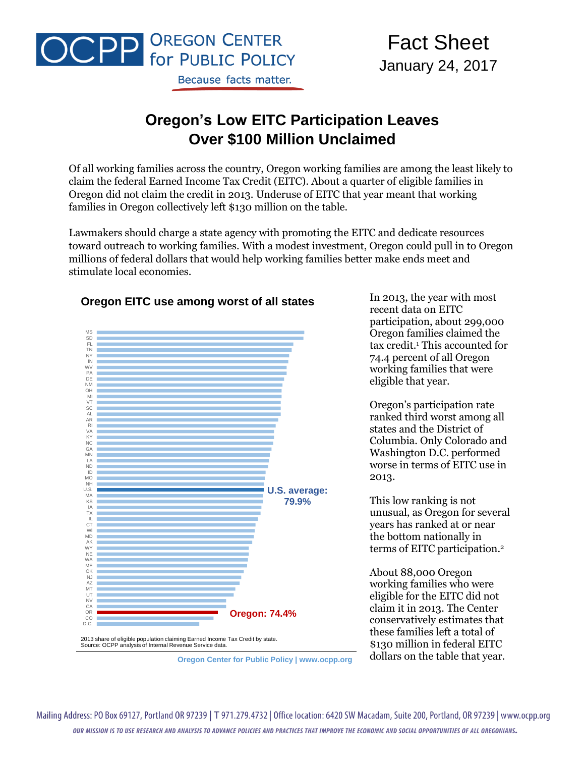

# **Oregon's Low EITC Participation Leaves Over \$100 Million Unclaimed**

Of all working families across the country, Oregon working families are among the least likely to claim the federal Earned Income Tax Credit (EITC). About a quarter of eligible families in Oregon did not claim the credit in 2013. Underuse of EITC that year meant that working families in Oregon collectively left \$130 million on the table.

Lawmakers should charge a state agency with promoting the EITC and dedicate resources toward outreach to working families. With a modest investment, Oregon could pull in to Oregon millions of federal dollars that would help working families better make ends meet and stimulate local economies.



#### **Oregon EITC use among worst of all states**

In 2013, the year with most recent data on EITC participation, about 299,000 Oregon families claimed the tax credit.<sup>1</sup> This accounted for 74.4 percent of all Oregon working families that were eligible that year.

Oregon's participation rate ranked third worst among all states and the District of Columbia. Only Colorado and Washington D.C. performed worse in terms of EITC use in 2013.

This low ranking is not unusual, as Oregon for several years has ranked at or near the bottom nationally in terms of EITC participation. 2

About 88,000 Oregon working families who were eligible for the EITC did not claim it in 2013. The Center conservatively estimates that these families left a total of \$130 million in federal EITC dollars on the table that year.

Mailing Address: PO Box 69127, Portland OR 97239 | T 971.279.4732 | Office location: 6420 SW Macadam, Suite 200, Portland, OR 97239 | www.ocpp.org OUR MISSION IS TO USE RESEARCH AND ANALYSIS TO ADVANCE POLICIES AND PRACTICES THAT IMPROVE THE ECONOMIC AND SOCIAL OPPORTUNITIES OF ALL OREGONIANS.

**Oregon Center for Public Policy | www.ocpp.org**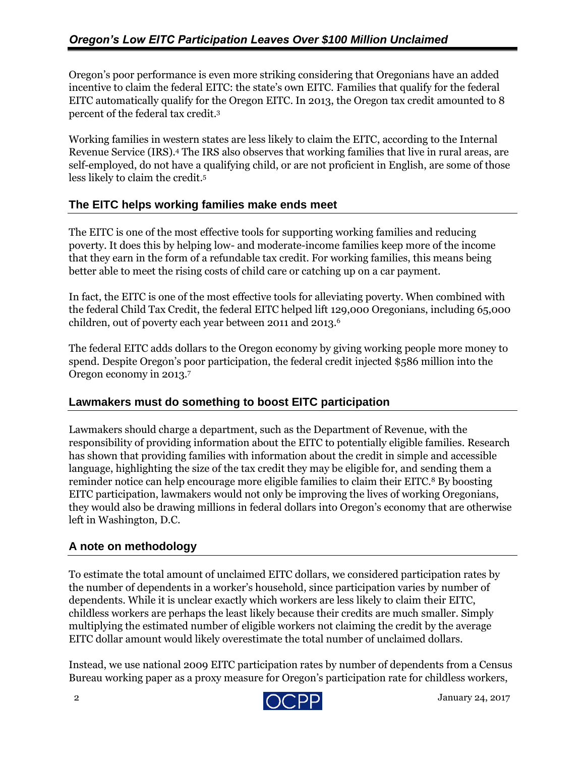Oregon's poor performance is even more striking considering that Oregonians have an added incentive to claim the federal EITC: the state's own EITC. Families that qualify for the federal EITC automatically qualify for the Oregon EITC. In 2013, the Oregon tax credit amounted to 8 percent of the federal tax credit.<sup>3</sup>

Working families in western states are less likely to claim the EITC, according to the Internal Revenue Service (IRS). <sup>4</sup> The IRS also observes that working families that live in rural areas, are self-employed, do not have a qualifying child, or are not proficient in English, are some of those less likely to claim the credit.<sup>5</sup>

#### **The EITC helps working families make ends meet**

The EITC is one of the most effective tools for supporting working families and reducing poverty. It does this by helping low- and moderate-income families keep more of the income that they earn in the form of a refundable tax credit. For working families, this means being better able to meet the rising costs of child care or catching up on a car payment.

In fact, the EITC is one of the most effective tools for alleviating poverty. When combined with the federal Child Tax Credit, the federal EITC helped lift 129,000 Oregonians, including 65,000 children, out of poverty each year between 2011 and 2013.<sup>6</sup>

The federal EITC adds dollars to the Oregon economy by giving working people more money to spend. Despite Oregon's poor participation, the federal credit injected \$586 million into the Oregon economy in 2013. 7

## **Lawmakers must do something to boost EITC participation**

Lawmakers should charge a department, such as the Department of Revenue, with the responsibility of providing information about the EITC to potentially eligible families. Research has shown that providing families with information about the credit in simple and accessible language, highlighting the size of the tax credit they may be eligible for, and sending them a reminder notice can help encourage more eligible families to claim their EITC.<sup>8</sup> By boosting EITC participation, lawmakers would not only be improving the lives of working Oregonians, they would also be drawing millions in federal dollars into Oregon's economy that are otherwise left in Washington, D.C.

## **A note on methodology**

To estimate the total amount of unclaimed EITC dollars, we considered participation rates by the number of dependents in a worker's household, since participation varies by number of dependents. While it is unclear exactly which workers are less likely to claim their EITC, childless workers are perhaps the least likely because their credits are much smaller. Simply multiplying the estimated number of eligible workers not claiming the credit by the average EITC dollar amount would likely overestimate the total number of unclaimed dollars.

Instead, we use national 2009 EITC participation rates by number of dependents from a Census Bureau working paper as a proxy measure for Oregon's participation rate for childless workers,